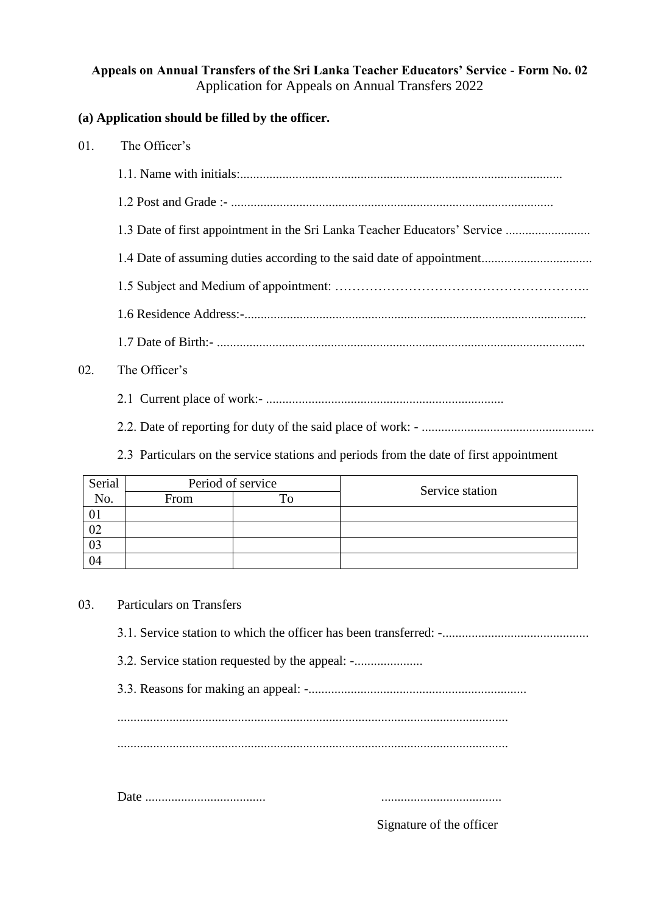## **Appeals on Annual Transfers of the Sri Lanka Teacher Educators' Service - Form No. 02** Application for Appeals on Annual Transfers 2022

## **(a) Application should be filled by the officer.**

- 01. The Officer's
	- 1.1. Name with initials:...................................................................................................
	- 1.2 Post and Grade :- ...................................................................................................
	- 1.3 Date of first appointment in the Sri Lanka Teacher Educators' Service ..........................
	- 1.4 Date of assuming duties according to the said date of appointment..................................
	- 1.5 Subject and Medium of appointment: …………………………………………………..
	- 1.6 Residence Address:-.........................................................................................................
	- 1.7 Date of Birth:- .................................................................................................................

## 02. The Officer's

2.1 Current place of work:- .........................................................................

2.2. Date of reporting for duty of the said place of work: - .....................................................

2.3 Particulars on the service stations and periods from the date of first appointment

| Serial | Period of service |         | Service station |
|--------|-------------------|---------|-----------------|
| No.    | From              | $T_{0}$ |                 |
|        |                   |         |                 |
| 02     |                   |         |                 |
| 03     |                   |         |                 |
| 04     |                   |         |                 |

## 03. Particulars on Transfers

3.1. Service station to which the officer has been transferred: -.............................................

3.2. Service station requested by the appeal: -..................................

3.3. Reasons for making an appeal: -...................................................................

........................................................................................................................ ........................................................................................................................

Date ..................................... .....................................

Signature of the officer